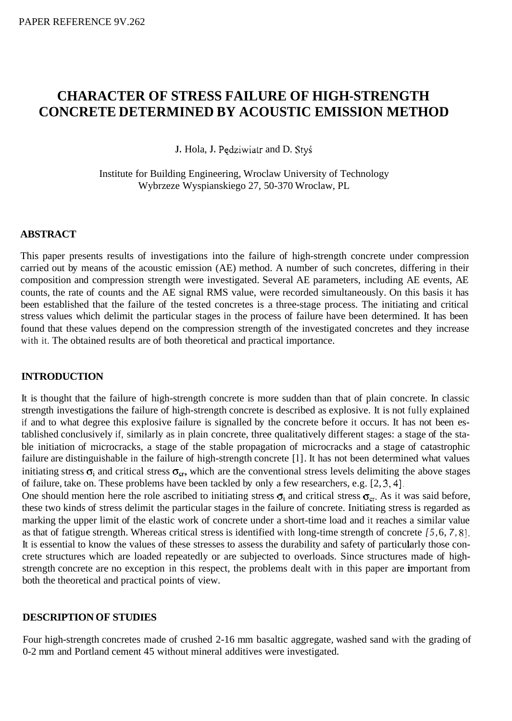# **CHARACTER OF STRESS FAILURE OF HIGH-STRENGTH CONCRETE DETERMINED BY ACOUSTIC EMISSION METHOD**

**J.** Hola, **J.** Pqdziwiatr and D. **StyS** 

Institute for Building Engineering, Wroclaw University of Technology Wybrzeze Wyspianskiego 27, 50-370 Wroclaw, PL

## **ABSTRACT**

This paper presents results of investigations into the failure of high-strength concrete under compression carried out by means of the acoustic emission (AE) method. A number of such concretes, differing in their composition and compression strength were investigated. Several AE parameters, including AE events, AE counts, the rate of counts and the AE signal RMS value, were recorded simultaneously. On this basis it has been established that the failure of the tested concretes is a three-stage process. The initiating and critical stress values which delimit the particular stages in the process of failure have been determined. It has been found that these values depend on the compression strength of the investigated concretes and they increase with it. The obtained results are of both theoretical and practical importance.

#### **INTRODUCTION**

It is thought that the failure of high-strength concrete is more sudden than that of plain concrete. In classic strength investigations the failure of high-strength concrete is described as explosive. It is not fully explained if and to what degree this explosive failure is signalled by the concrete before it occurs. It has not been established conclusively if, similarly as in plain concrete, three qualitatively different stages: a stage of the stable initiation of microcracks, a stage of the stable propagation of microcracks and a stage of catastrophic failure are distinguishable in the failure of high-strength concrete [l]. It has not been determined what values initiating stress  $\sigma_i$  and critical stress  $\sigma_{cr}$ , which are the conventional stress levels delimiting the above stages of failure, take on. These problems have been tackled by only a few researchers, e.g. [2, 3,4].

One should mention here the role ascribed to initiating stress  $\sigma_i$  and critical stress  $\sigma_{cr}$ . As it was said before, these two kinds of stress delimit the particular stages in the failure of concrete. Initiating stress is regarded as marking the upper limit of the elastic work of concrete under a short-time load and it reaches a similar value as that of fatigue strength. Whereas critical stress is identified with long-time strength of concrete *[5,* 6, *7,* 81. It is essential to know the values of these stresses to assess the durability and safety of particularly those concrete structures which are loaded repeatedly or are subjected to overloads. Since structures made of highstrength concrete are no exception in this respect, the problems dealt with in this paper are important from both the theoretical and practical points of view.

## **DESCRIPTION OF STUDIES**

Four high-strength concretes made of crushed 2-16 mm basaltic aggregate, washed sand with the grading of 0-2 mm and Portland cement 45 without mineral additives were investigated.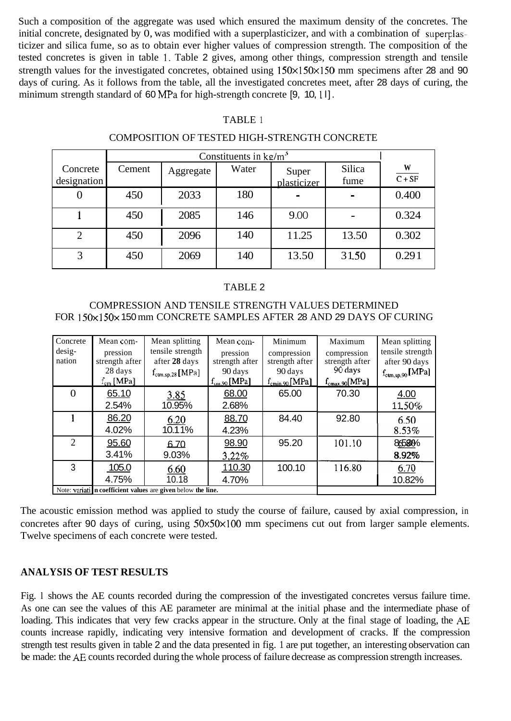Such a composition of the aggregate was used which ensured the maximum density of the concretes. The initial concrete, designated by 0, was modified with a superplasticizer, and with a combination of superplasticizer and silica fume, so as to obtain ever higher values of compression strength. The composition of the tested concretes is given in table **1.** Table 2 gives, among other things, compression strength and tensile strength values for the investigated concretes, obtained using  $150 \times 150 \times 150$  mm specimens after 28 and 90 days of curing. As it follows from the table, all the investigated concretes meet, after 28 days of curing, the minimum strength standard of 60 MPa for high-strength concrete [9, 10, **1** l].

#### TABLE 1

#### COMPOSITION OF TESTED HIGH-STRENGTH CONCRETE

|                         | Constituents in $kg/m3$ |           |       |                      |                |               |
|-------------------------|-------------------------|-----------|-------|----------------------|----------------|---------------|
| Concrete<br>designation | Cement                  | Aggregate | Water | Super<br>plasticizer | Silica<br>fume | W<br>$C + SF$ |
| 0                       | 450                     | 2033      | 180   |                      |                | 0.400         |
|                         | 450                     | 2085      | 146   | 9.00                 |                | 0.324         |
| $\overline{2}$          | 450                     | 2096      | 140   | 11.25                | 13.50          | 0.302         |
| 3                       | 450                     | 2069      | 140   | 13.50                | 31.50          | 0.291         |

#### TABLE 2

### COMPRESSION AND TENSILE STRENGTH VALUES DETERMINED FOR 150x 150x 150 mm CONCRETE SAMPLES AFTER 28 AND 29 DAYS OF CURING

| 2033<br>180<br>450<br>0.400<br>$\mathbf 0$<br>1<br>2085<br>146<br>9.00<br>0.324<br>450<br>$\blacksquare$<br>$\overline{2}$<br>140<br>11.25<br>13.50<br>0.302<br>450<br>2096<br>$\overline{3}$<br>140<br>450<br>13.50<br>31.50<br>0.291<br>2069                                                                                                                                                                                                                                                                                                                  |
|-----------------------------------------------------------------------------------------------------------------------------------------------------------------------------------------------------------------------------------------------------------------------------------------------------------------------------------------------------------------------------------------------------------------------------------------------------------------------------------------------------------------------------------------------------------------|
|                                                                                                                                                                                                                                                                                                                                                                                                                                                                                                                                                                 |
|                                                                                                                                                                                                                                                                                                                                                                                                                                                                                                                                                                 |
|                                                                                                                                                                                                                                                                                                                                                                                                                                                                                                                                                                 |
|                                                                                                                                                                                                                                                                                                                                                                                                                                                                                                                                                                 |
| <b>TABLE 2</b><br><b>COMPRESSION AND TENSILE STRENGTH VALUES DETERMINED</b><br>FOR 150x150x 150 mm CONCRETE SAMPLES AFTER 28 AND 29 DAYS OF CURING                                                                                                                                                                                                                                                                                                                                                                                                              |
| Concrete<br>Mean com-<br>Mean splitting<br>Mean com-<br>Minimum<br>Mean splitting<br>Maximum<br>desig-<br>tensile strength<br>tensile strength<br>pression<br>pression<br>compression<br>compression<br>after 28 days<br>nation<br>strength after<br>strength after<br>after 90 days<br>strength after<br>strength after<br>90 days<br>28 days<br>90 days<br>90 days<br>$f_{\text{ctm,sp,90}}[\text{MPa}]$<br>$f_{\text{ctm,sp,28}}[\text{MPa}]$<br>$f_{cm}$ [MPa]<br>$f_{cm,90}$ [MPa]<br>$f_{\text{cmin,90}}[\text{MPa}]$<br>$f_{\text{cmax,90}}[\text{MPa}]$ |
| 70.30<br>$\theta$<br>65.00<br>65.10<br>68.00<br>4.00<br>3.85<br>2.54%<br>10.95%<br>2.68%<br>11.50%                                                                                                                                                                                                                                                                                                                                                                                                                                                              |
| $\mathbf{1}$<br>84.40<br>86.20<br>92.80<br>88.70<br>6.20<br>6.50<br>10.11%<br>4.02%<br>8.53%<br>4.23%                                                                                                                                                                                                                                                                                                                                                                                                                                                           |
| $\overline{2}$<br>95.20<br>101.10<br>95.60<br>98.90<br>86580%<br>6.70<br>3.41%<br>9.03%<br>8.92%<br>3,22%                                                                                                                                                                                                                                                                                                                                                                                                                                                       |
| $\mathbf{3}$<br>100.10<br>116.80<br>105.0<br>110.30<br>6.70<br>6.60<br>10.18<br>4.75%<br>4.70%<br>10.82%                                                                                                                                                                                                                                                                                                                                                                                                                                                        |
| Note: variati n coefficient values are given below the line.                                                                                                                                                                                                                                                                                                                                                                                                                                                                                                    |

The acoustic emission method was applied to study the course of failure, caused by axial compression, in concretes after 90 days of curing, using  $50 \times 50 \times 100$  mm specimens cut out from larger sample elements. Twelve specimens of each concrete were tested.

## **ANALYSIS OF TEST RESULTS**

Fig. l shows the AE counts recorded during the compression of the investigated concretes versus failure time. As one can see the values of this AE parameter are minimal at the initial phase and the intermediate phase of loading. This indicates that very few cracks appear in the structure. Only at the final stage of loading, the *AE*  counts increase rapidly, indicating very intensive formation and development of cracks. If the compression strength test results given in table 2 and the data presented in fig. 1 are put together, an interesting observation can be made: the *AE* counts recorded during the whole process of failure decrease as compression strength increases.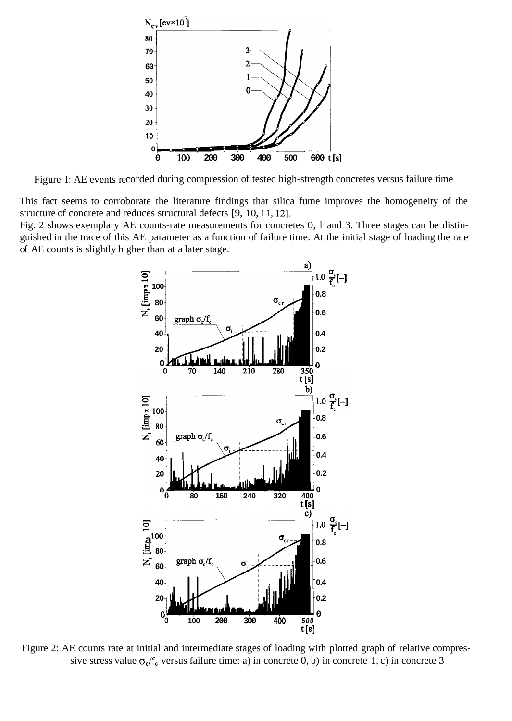

Figure 1: AE events recorded during compression of tested high-strength concretes versus failure time

This fact seems to corroborate the literature findings that silica fume improves the homogeneity of the structure of concrete and reduces structural defects [9, 10, 11, 12].

Fig. 2 shows exemplary AE counts-rate measurements for concretes 0, l and 3. Three stages can be distinguished in the trace of this AE parameter as a function of failure time. At the initial stage of loading the rate of AE counts is slightly higher than at a later stage.



Figure 2: AE counts rate at initial and intermediate stages of loading with plotted graph of relative compressive stress value  $\sigma_c/f_c$  versus failure time: a) in concrete 0, b) in concrete 1, c) in concrete 3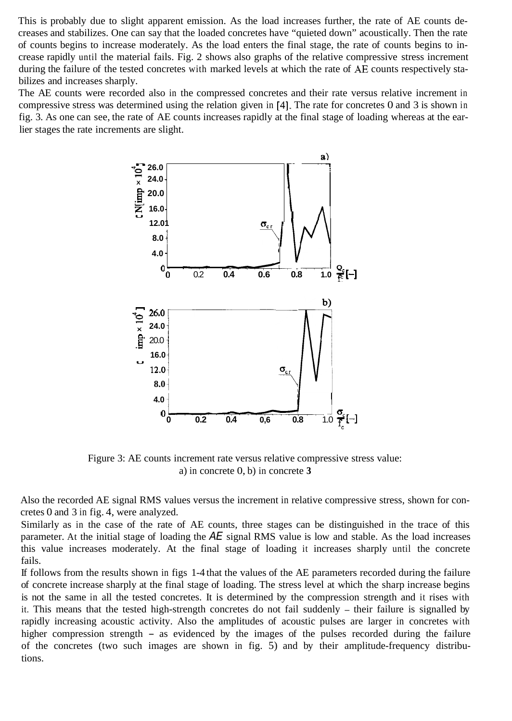This is probably due to slight apparent emission. As the load increases further, the rate of AE counts decreases and stabilizes. One can say that the loaded concretes have "quieted down" acoustically. Then the rate of counts begins to increase moderately. As the load enters the final stage, the rate of counts begins to increase rapidly until the material fails. Fig. 2 shows also graphs of the relative compressive stress increment during the failure of the tested concretes with marked levels at which the rate of *AE* counts respectively stabilizes and increases sharply.

The AE counts were recorded also in the compressed concretes and their rate versus relative increment in compressive stress was determined using the relation given in [4]. The rate for concretes 0 and 3 is shown in fig. 3. As one can see, the rate of AE counts increases rapidly at the final stage of loading whereas at the earlier stages the rate increments are slight.



Figure 3: AE counts increment rate versus relative compressive stress value: a) in concrete 0, b) in concrete **3** 

Also the recorded AE signal RMS values versus the increment in relative compressive stress, shown for concretes 0 and 3 in fig. 4, were analyzed.

Similarly as in the case of the rate of AE counts, three stages can be distinguished in the trace of this parameter. At the initial stage of loading the *AE* signal RMS value is low and stable. As the load increases this value increases moderately. At the final stage of loading it increases sharply until the concrete fails.

If follows from the results shown in figs 1-4 that the values of the AE parameters recorded during the failure of concrete increase sharply at the final stage of loading. The stress level at which the sharp increase begins is not the same in all the tested concretes. It is determined by the compression strength and it rises with it. This means that the tested high-strength concretes do not fail suddenly - their failure is signalled by rapidly increasing acoustic activity. Also the amplitudes of acoustic pulses are larger in concretes with higher compression strength – as evidenced by the images of the pulses recorded during the failure of the concretes (two such images are shown in fig. 5) and by their amplitude-frequency distributions.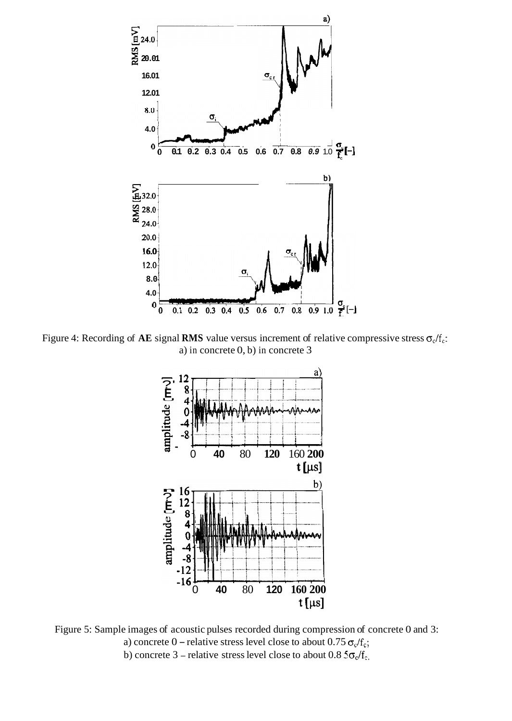

Figure 4: Recording of AE signal RMS value versus increment of relative compressive stress  $\sigma_c/f_c$ : a) in concrete 0, b) in concrete 3



Figure 5: Sample images of acoustic pulses recorded during compression of concrete 0 and 3: a) concrete 0 – relative stress level close to about  $0.75 \sigma_c/f_c$ ; b) concrete 3 – relative stress level close to about 0.8  $5\sigma_{\rm c}/f_{\rm c}$ ,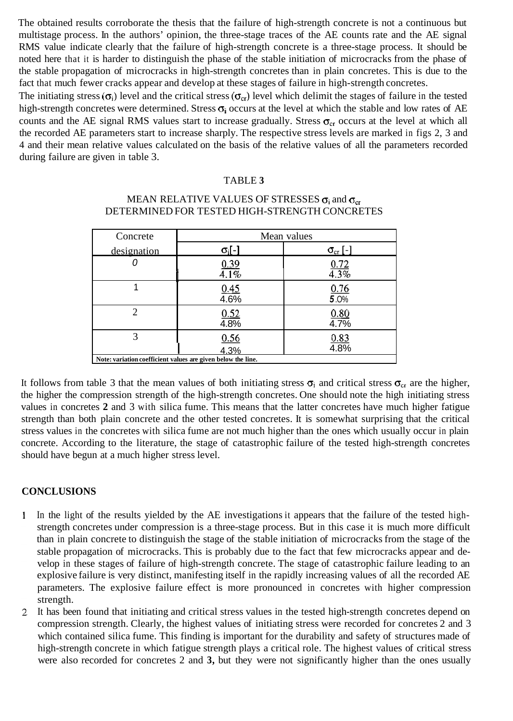The obtained results corroborate the thesis that the failure of high-strength concrete is not a continuous but multistage process. In the authors' opinion, the three-stage traces of the AE counts rate and the AE signal RMS value indicate clearly that the failure of high-strength concrete is a three-stage process. It should be noted here that it is harder to distinguish the phase of the stable initiation of microcracks from the phase of the stable propagation of microcracks in high-strength concretes than in plain concretes. This is due to the fact that much fewer cracks appear and develop at these stages of failure in high-strength concretes.

The initiating stress  $(\sigma_i)$  level and the critical stress  $(\sigma_{cr})$  level which delimit the stages of failure in the tested high-strength concretes were determined. Stress  $\sigma_i$  occurs at the level at which the stable and low rates of AE counts and the AE signal RMS values start to increase gradually. Stress  $\sigma_{cr}$  occurs at the level at which all the recorded AE parameters start to increase sharply. The respective stress levels are marked in figs 2, 3 and 4 and their mean relative values calculated on the basis of the relative values of all the parameters recorded during failure are given in table 3.

#### TABLE **3**

## MEAN RELATIVE VALUES OF STRESSES  $\sigma_i$  and  $\sigma_{cr}$ DETERMINED FOR TESTED HIGH-STRENGTH CONCRETES

| Concrete                                                     | Mean values          |                       |  |  |  |
|--------------------------------------------------------------|----------------------|-----------------------|--|--|--|
| designation                                                  | $\sigma_i$ [-]       | $\sigma_{\rm cr}$ [-] |  |  |  |
|                                                              | $\frac{0.39}{4.1\%}$ | $\frac{0.72}{4.3\%}$  |  |  |  |
|                                                              |                      |                       |  |  |  |
|                                                              | 0.45                 | $\frac{0.76}{5.0\%}$  |  |  |  |
|                                                              | 4.6%                 |                       |  |  |  |
| っ                                                            | 0.52                 | 0.80                  |  |  |  |
|                                                              | 4.8%                 | 4.7%                  |  |  |  |
| 3                                                            | 0.56                 | $\frac{0.83}{4.8\%}$  |  |  |  |
|                                                              | 4.3%                 |                       |  |  |  |
| Note: variation coefficient values are given below the line. |                      |                       |  |  |  |

It follows from table 3 that the mean values of both initiating stress  $\sigma_i$  and critical stress  $\sigma_{cr}$  are the higher, the higher the compression strength of the high-strength concretes. One should note the high initiating stress values in concretes **2** and 3 with silica fume. This means that the latter concretes have much higher fatigue strength than both plain concrete and the other tested concretes. It is somewhat surprising that the critical stress values in the concretes with silica fume are not much higher than the ones which usually occur in plain concrete. According to the literature, the stage of catastrophic failure of the tested high-strength concretes should have begun at a much higher stress level.

## **CONCLUSIONS**

- $\mathbf{1}$ In the light of the results yielded by the AE investigations it appears that the failure of the tested highstrength concretes under compression is a three-stage process. But in this case it is much more difficult than in plain concrete to distinguish the stage of the stable initiation of microcracks from the stage of the stable propagation of microcracks. This is probably due to the fact that few microcracks appear and develop in these stages of failure of high-strength concrete. The stage of catastrophic failure leading to an explosive failure is very distinct, manifesting itself in the rapidly increasing values of all the recorded AE parameters. The explosive failure effect is more pronounced in concretes with higher compression strength.
- 2 It has been found that initiating and critical stress values in the tested high-strength concretes depend on compression strength. Clearly, the highest values of initiating stress were recorded for concretes 2 and 3 which contained silica fume. This finding is important for the durability and safety of structures made of high-strength concrete in which fatigue strength plays a critical role. The highest values of critical stress were also recorded for concretes 2 and **3,** but they were not significantly higher than the ones usually